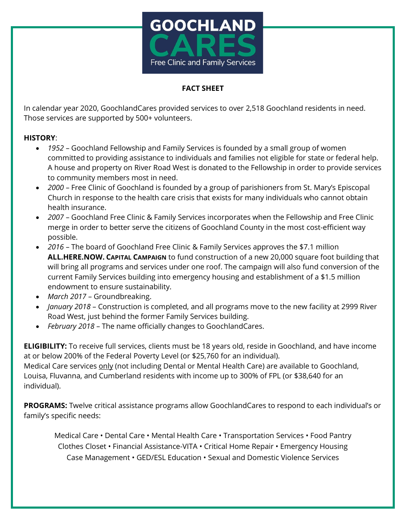

## **FACT SHEET**

In calendar year 2020, GoochlandCares provided services to over 2,518 Goochland residents in need. Those services are supported by 500+ volunteers.

## **HISTORY**:

- *1952* Goochland Fellowship and Family Services is founded by a small group of women committed to providing assistance to individuals and families not eligible for state or federal help. A house and property on River Road West is donated to the Fellowship in order to provide services to community members most in need.
- *2000* Free Clinic of Goochland is founded by a group of parishioners from St. Mary's Episcopal Church in response to the health care crisis that exists for many individuals who cannot obtain health insurance.
- *2007* Goochland Free Clinic & Family Services incorporates when the Fellowship and Free Clinic merge in order to better serve the citizens of Goochland County in the most cost-efficient way possible.
- *2016* The board of Goochland Free Clinic & Family Services approves the \$7.1 million **ALL.HERE.NOW. CAPITAL CAMPAIGN** to fund construction of a new 20,000 square foot building that will bring all programs and services under one roof. The campaign will also fund conversion of the current Family Services building into emergency housing and establishment of a \$1.5 million endowment to ensure sustainability.
- *March 2017*  Groundbreaking.
- *January 2018* Construction is completed, and all programs move to the new facility at 2999 River Road West, just behind the former Family Services building.
- *February 2018*  The name officially changes to GoochlandCares.

**ELIGIBILITY:** To receive full services, clients must be 18 years old, reside in Goochland, and have income at or below 200% of the Federal Poverty Level (or \$25,760 for an individual). Medical Care services only (not including Dental or Mental Health Care) are available to Goochland,

Louisa, Fluvanna, and Cumberland residents with income up to 300% of FPL (or \$38,640 for an individual).

**PROGRAMS:** Twelve critical assistance programs allow GoochlandCares to respond to each individual's or family's specific needs:

Medical Care • Dental Care • Mental Health Care • Transportation Services • Food Pantry Clothes Closet • Financial Assistance-VITA • Critical Home Repair • Emergency Housing Case Management • GED/ESL Education • Sexual and Domestic Violence Services